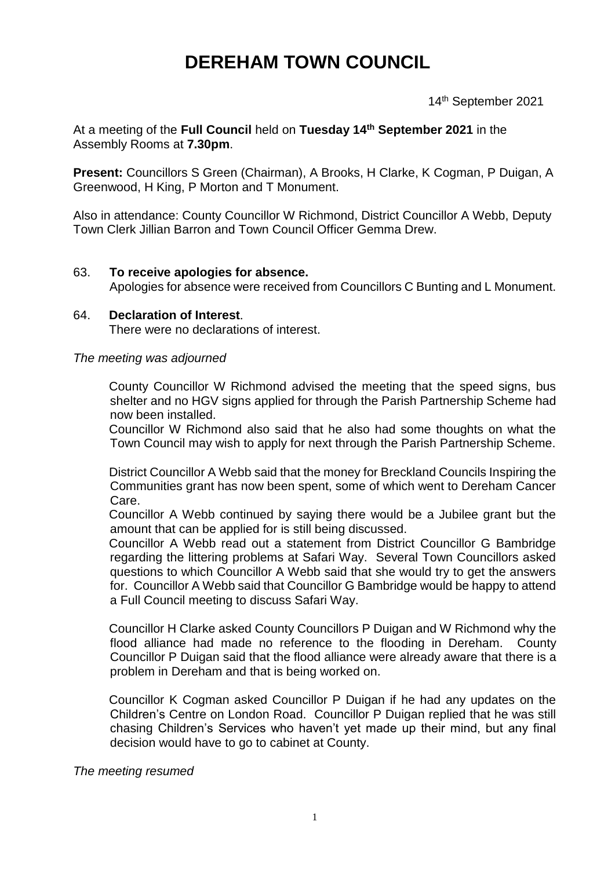# **DEREHAM TOWN COUNCIL**

14th September 2021

At a meeting of the **Full Council** held on **Tuesday 14th September 2021** in the Assembly Rooms at **7.30pm**.

**Present:** Councillors S Green (Chairman), A Brooks, H Clarke, K Cogman, P Duigan, A Greenwood, H King, P Morton and T Monument.

Also in attendance: County Councillor W Richmond, District Councillor A Webb, Deputy Town Clerk Jillian Barron and Town Council Officer Gemma Drew.

#### 63. **To receive apologies for absence.**

Apologies for absence were received from Councillors C Bunting and L Monument.

#### 64. **Declaration of Interest**. There were no declarations of interest.

#### *The meeting was adjourned*

County Councillor W Richmond advised the meeting that the speed signs, bus shelter and no HGV signs applied for through the Parish Partnership Scheme had now been installed.

Councillor W Richmond also said that he also had some thoughts on what the Town Council may wish to apply for next through the Parish Partnership Scheme.

District Councillor A Webb said that the money for Breckland Councils Inspiring the Communities grant has now been spent, some of which went to Dereham Cancer Care.

Councillor A Webb continued by saying there would be a Jubilee grant but the amount that can be applied for is still being discussed.

Councillor A Webb read out a statement from District Councillor G Bambridge regarding the littering problems at Safari Way. Several Town Councillors asked questions to which Councillor A Webb said that she would try to get the answers for. Councillor A Webb said that Councillor G Bambridge would be happy to attend a Full Council meeting to discuss Safari Way.

Councillor H Clarke asked County Councillors P Duigan and W Richmond why the flood alliance had made no reference to the flooding in Dereham. County Councillor P Duigan said that the flood alliance were already aware that there is a problem in Dereham and that is being worked on.

Councillor K Cogman asked Councillor P Duigan if he had any updates on the Children's Centre on London Road. Councillor P Duigan replied that he was still chasing Children's Services who haven't yet made up their mind, but any final decision would have to go to cabinet at County.

*The meeting resumed*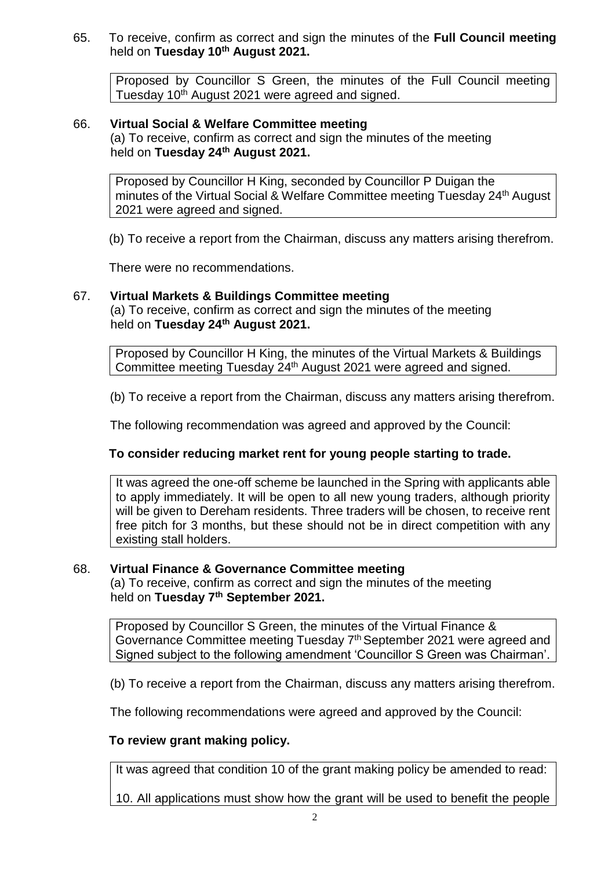65. To receive, confirm as correct and sign the minutes of the **Full Council meeting** held on **Tuesday 10th August 2021.**

Proposed by Councillor S Green, the minutes of the Full Council meeting Tuesday 10<sup>th</sup> August 2021 were agreed and signed.

# 66. **Virtual Social & Welfare Committee meeting**

(a) To receive, confirm as correct and sign the minutes of the meeting held on **Tuesday 24th August 2021.**

Proposed by Councillor H King, seconded by Councillor P Duigan the minutes of the Virtual Social & Welfare Committee meeting Tuesday 24<sup>th</sup> August 2021 were agreed and signed.

(b) To receive a report from the Chairman, discuss any matters arising therefrom.

There were no recommendations.

# 67. **Virtual Markets & Buildings Committee meeting**

(a) To receive, confirm as correct and sign the minutes of the meeting held on **Tuesday 24th August 2021.**

Proposed by Councillor H King, the minutes of the Virtual Markets & Buildings Committee meeting Tuesday 24th August 2021 were agreed and signed.

(b) To receive a report from the Chairman, discuss any matters arising therefrom.

The following recommendation was agreed and approved by the Council:

### **To consider reducing market rent for young people starting to trade.**

It was agreed the one-off scheme be launched in the Spring with applicants able to apply immediately. It will be open to all new young traders, although priority will be given to Dereham residents. Three traders will be chosen, to receive rent free pitch for 3 months, but these should not be in direct competition with any existing stall holders.

### 68. **Virtual Finance & Governance Committee meeting**

(a) To receive, confirm as correct and sign the minutes of the meeting held on **Tuesday 7th September 2021.**

Proposed by Councillor S Green, the minutes of the Virtual Finance & Governance Committee meeting Tuesday 7<sup>th</sup> September 2021 were agreed and Signed subject to the following amendment 'Councillor S Green was Chairman'.

(b) To receive a report from the Chairman, discuss any matters arising therefrom.

The following recommendations were agreed and approved by the Council:

### **To review grant making policy.**

It was agreed that condition 10 of the grant making policy be amended to read:

10. All applications must show how the grant will be used to benefit the people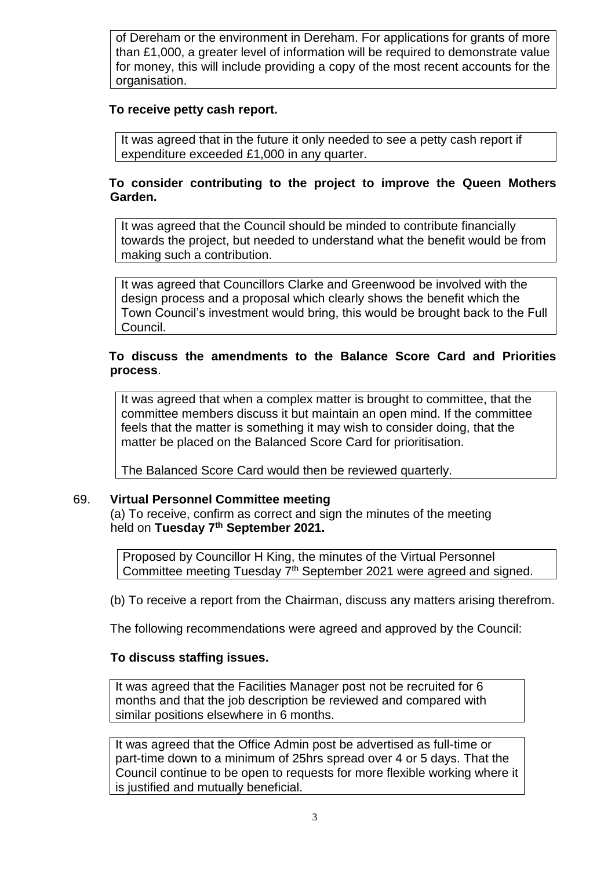of Dereham or the environment in Dereham. For applications for grants of more than £1,000, a greater level of information will be required to demonstrate value for money, this will include providing a copy of the most recent accounts for the organisation.

### **To receive petty cash report.**

It was agreed that in the future it only needed to see a petty cash report if expenditure exceeded £1,000 in any quarter.

# **To consider contributing to the project to improve the Queen Mothers Garden.**

It was agreed that the Council should be minded to contribute financially towards the project, but needed to understand what the benefit would be from making such a contribution.

It was agreed that Councillors Clarke and Greenwood be involved with the design process and a proposal which clearly shows the benefit which the Town Council's investment would bring, this would be brought back to the Full Council.

# **To discuss the amendments to the Balance Score Card and Priorities process**.

It was agreed that when a complex matter is brought to committee, that the committee members discuss it but maintain an open mind. If the committee feels that the matter is something it may wish to consider doing, that the matter be placed on the Balanced Score Card for prioritisation.

The Balanced Score Card would then be reviewed quarterly.

### 69. **Virtual Personnel Committee meeting**

(a) To receive, confirm as correct and sign the minutes of the meeting held on **Tuesday 7th September 2021.**

Proposed by Councillor H King, the minutes of the Virtual Personnel Committee meeting Tuesday 7<sup>th</sup> September 2021 were agreed and signed.

(b) To receive a report from the Chairman, discuss any matters arising therefrom.

The following recommendations were agreed and approved by the Council:

### **To discuss staffing issues.**

It was agreed that the Facilities Manager post not be recruited for 6 months and that the job description be reviewed and compared with similar positions elsewhere in 6 months.

It was agreed that the Office Admin post be advertised as full-time or part-time down to a minimum of 25hrs spread over 4 or 5 days. That the Council continue to be open to requests for more flexible working where it is justified and mutually beneficial.